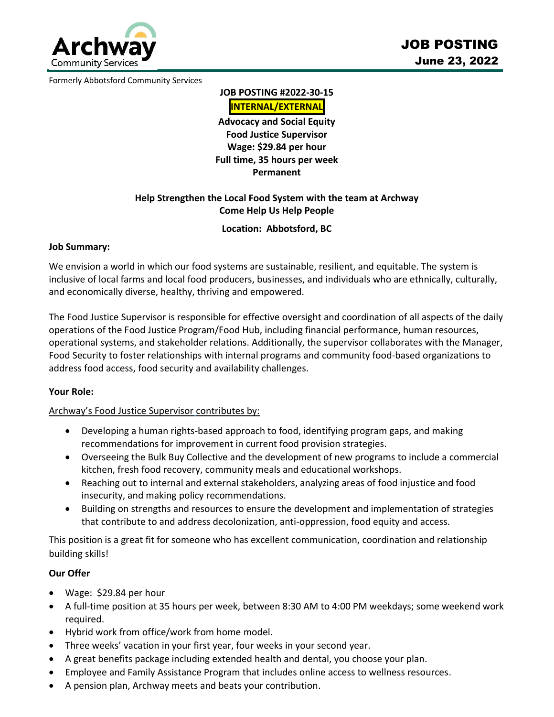

Formerly Abbotsford Community Services

**JOB POSTING #2022-30-15**

**INTERNAL/EXTERNAL Advocacy and Social Equity Food Justice Supervisor Wage: \$29.84 per hour** 

**Full time, 35 hours per week Permanent**

# **Help Strengthen the Local Food System with the team at Archway Come Help Us Help People**

## **Location: Abbotsford, BC**

#### **Job Summary:**

We envision a world in which our food systems are sustainable, resilient, and equitable. The system is inclusive of local farms and local food producers, businesses, and individuals who are ethnically, culturally, and economically diverse, healthy, thriving and empowered.

The Food Justice Supervisor is responsible for effective oversight and coordination of all aspects of the daily operations of the Food Justice Program/Food Hub, including financial performance, human resources, operational systems, and stakeholder relations. Additionally, the supervisor collaborates with the Manager, Food Security to foster relationships with internal programs and community food-based organizations to address food access, food security and availability challenges.

#### **Your Role:**

#### Archway's Food Justice Supervisor contributes by:

- Developing a human rights-based approach to food, identifying program gaps, and making recommendations for improvement in current food provision strategies.
- Overseeing the Bulk Buy Collective and the development of new programs to include a commercial kitchen, fresh food recovery, community meals and educational workshops.
- Reaching out to internal and external stakeholders, analyzing areas of food injustice and food insecurity, and making policy recommendations.
- Building on strengths and resources to ensure the development and implementation of strategies that contribute to and address decolonization, anti-oppression, food equity and access.

This position is a great fit for someone who has excellent communication, coordination and relationship building skills!

## **Our Offer**

- Wage: \$29.84 per hour
- A full-time position at 35 hours per week, between 8:30 AM to 4:00 PM weekdays; some weekend work required.
- Hybrid work from office/work from home model.
- Three weeks' vacation in your first year, four weeks in your second year.
- A great benefits package including extended health and dental, you choose your plan.
- Employee and Family Assistance Program that includes online access to wellness resources.
- A pension plan, Archway meets and beats your contribution.